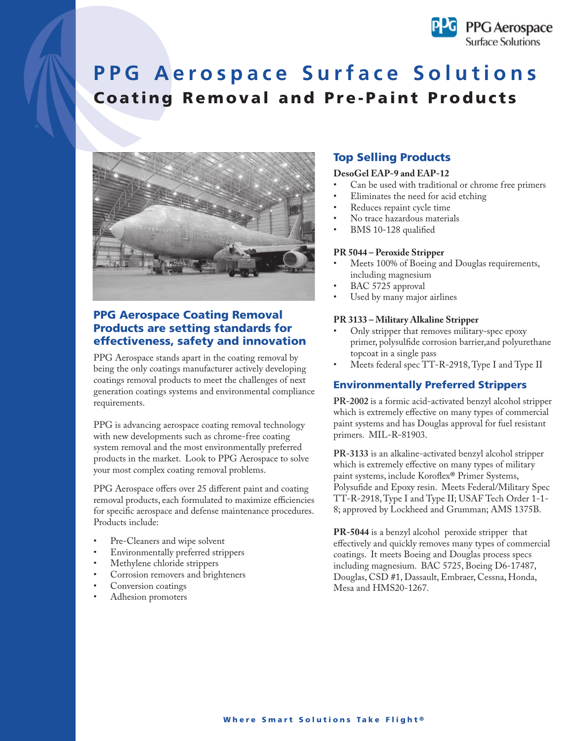

# **PPG Aerospace Surface Solutions Coating Removal and Pre-Paint Products**



## **PPG Aerospace Coating Removal Products are setting standards for effectiveness, safety and innovation**

PPG Aerospace stands apart in the coating removal by being the only coatings manufacturer actively developing coatings removal products to meet the challenges of next generation coatings systems and environmental compliance requirements.

PPG is advancing aerospace coating removal technology with new developments such as chrome-free coating system removal and the most environmentally preferred products in the market. Look to PPG Aerospace to solve your most complex coating removal problems.

PPG Aerospace offers over 25 different paint and coating removal products, each formulated to maximize efficiencies for specific aerospace and defense maintenance procedures. Products include:

- Pre-Cleaners and wipe solvent
- Environmentally preferred strippers
- Methylene chloride strippers
- Corrosion removers and brighteners
- Conversion coatings
- Adhesion promoters

### **Top Selling Products**

### **DesoGel EAP-9 and EAP-12**

- Can be used with traditional or chrome free primers
- Eliminates the need for acid etching
- Reduces repaint cycle time
- No trace hazardous materials
- BMS 10-128 qualified

### **PR 5044 – Peroxide Stripper**

- Meets 100% of Boeing and Douglas requirements, including magnesium
- BAC 5725 approval
- Used by many major airlines

#### **PR 3133 – Military Alkaline Stripper**

- Only stripper that removes military-spec epoxy primer, polysulfide corrosion barrier, and polyurethane topcoat in a single pass
- Meets federal spec TT-R-2918, Type I and Type II

### **Environmentally Preferred Strippers**

**PR-2002** is a formic acid-activated benzyl alcohol stripper which is extremely effective on many types of commercial paint systems and has Douglas approval for fuel resistant primers. MIL-R-81903.

**PR-3133** is an alkaline-activated benzyl alcohol stripper which is extremely effective on many types of military paint systems, include Koroflex® Primer Systems, Polysufide and Epoxy resin. Meets Federal/Military Spec TT-R-2918, Type I and Type II; USAF Tech Order 1-1- 8; approved by Lockheed and Grumman; AMS 1375B.

**PR-5044** is a benzyl alcohol peroxide stripper that effectively and quickly removes many types of commercial coatings. It meets Boeing and Douglas process specs including magnesium. BAC 5725, Boeing D6-17487, Douglas, CSD #1, Dassault, Embraer, Cessna, Honda, Mesa and HMS20-1267.